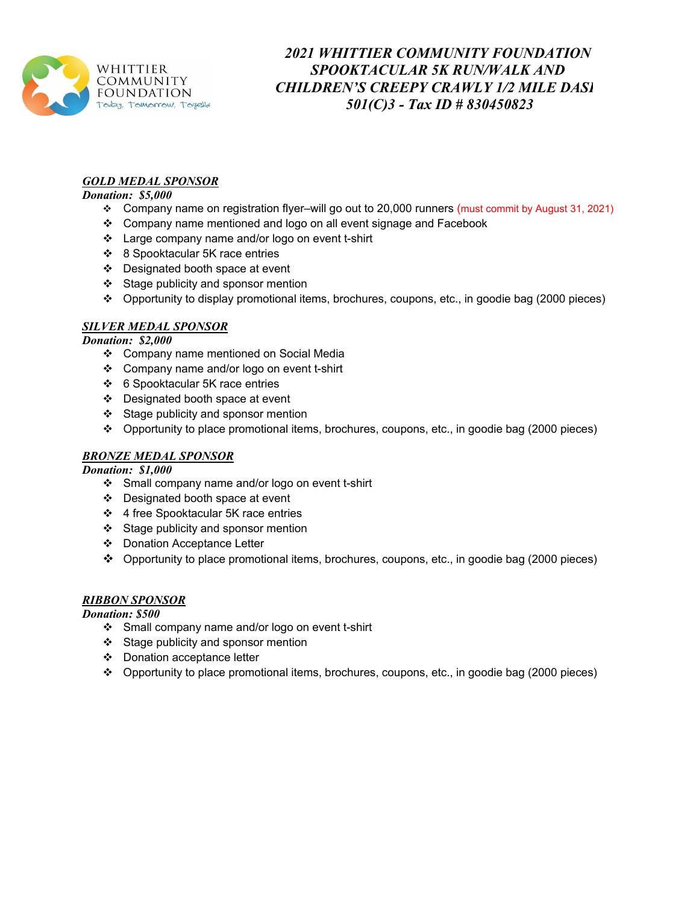

# *2021 WHITTIER COMMUNITY FOUNDATION SPOOKTACULAR 5K RUN/WALK AND CHILDREN'S CREEPY CRAWLY 1/2 MILE DASH 501(C)3 - Tax ID # 830450823*

### *GOLD MEDAL SPONSOR*

#### *Donation: \$5,000*

- Company name on registration flyer–will go out to 20,000 runners (must commit by August 31, 2021)
- Company name mentioned and logo on all event signage and Facebook
- Large company name and/or logo on event t-shirt
- 8 Spooktacular 5K race entries
- Designated booth space at event
- $\div$  Stage publicity and sponsor mention
- Opportunity to display promotional items, brochures, coupons, etc., in goodie bag (2000 pieces)

### *SILVER MEDAL SPONSOR*

#### *Donation: \$2,000*

- Company name mentioned on Social Media
- Company name and/or logo on event t-shirt
- 6 Spooktacular 5K race entries
- Designated booth space at event
- ❖ Stage publicity and sponsor mention
- Opportunity to place promotional items, brochures, coupons, etc., in goodie bag (2000 pieces)

## *BRONZE MEDAL SPONSOR*

#### *Donation: \$1,000*

- Small company name and/or logo on event t-shirt
- Designated booth space at event
- 4 free Spooktacular 5K race entries
- Stage publicity and sponsor mention
- Donation Acceptance Letter
- Opportunity to place promotional items, brochures, coupons, etc., in goodie bag (2000 pieces)

#### *RIBBON SPONSOR*

#### *Donation: \$500*

- Small company name and/or logo on event t-shirt
- $\div$  Stage publicity and sponsor mention
- Donation acceptance letter
- Opportunity to place promotional items, brochures, coupons, etc., in goodie bag (2000 pieces)